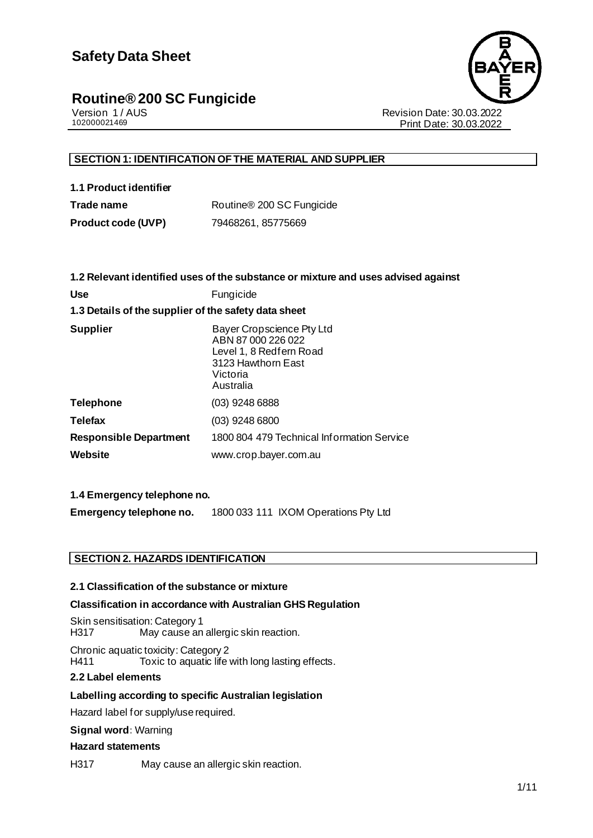

Version 1 / AUS<br>102000021469<br>Print Date: 30.03.2022 Print Date: 30.03.2022

#### **SECTION 1: IDENTIFICATION OF THE MATERIAL AND SUPPLIER**

**1.1 Product identifier** Trade name Routine<sup>®</sup> 200 SC Fungicide

**Product code (UVP)** 79468261, 85775669

|                                                      | 1.2 Relevant identified uses of the substance or mixture and uses advised against                                         |  |  |
|------------------------------------------------------|---------------------------------------------------------------------------------------------------------------------------|--|--|
| <b>Use</b>                                           | Fungicide                                                                                                                 |  |  |
| 1.3 Details of the supplier of the safety data sheet |                                                                                                                           |  |  |
| <b>Supplier</b>                                      | Bayer Cropscience Pty Ltd<br>ABN 87 000 226 022<br>Level 1, 8 Redfern Road<br>3123 Hawthorn East<br>Victoria<br>Australia |  |  |
| Telephone                                            | (03) 9248 6888                                                                                                            |  |  |
| <b>Telefax</b>                                       | $(03)$ 9248 6800                                                                                                          |  |  |
| <b>Responsible Department</b>                        | 1800 804 479 Technical Information Service                                                                                |  |  |
| Website                                              | www.crop.bayer.com.au                                                                                                     |  |  |

#### **1.4 Emergency telephone no.**

**Emergency telephone no.** 1800 033 111 IXOM Operations Pty Ltd

#### **SECTION 2. HAZARDS IDENTIFICATION**

#### **2.1 Classification of the substance or mixture**

#### **Classification in accordance with Australian GHS Regulation**

Skin sensitisation: Category 1 H317 May cause an allergic skin reaction.

Chronic aquatic toxicity: Category 2 H411 Toxic to aquatic life with long lasting effects.

#### **2.2 Label elements**

#### **Labelling according to specific Australian legislation**

Hazard label for supply/use required.

#### **Signal word:** Warning

#### **Hazard statements**

H317 May cause an allergic skin reaction.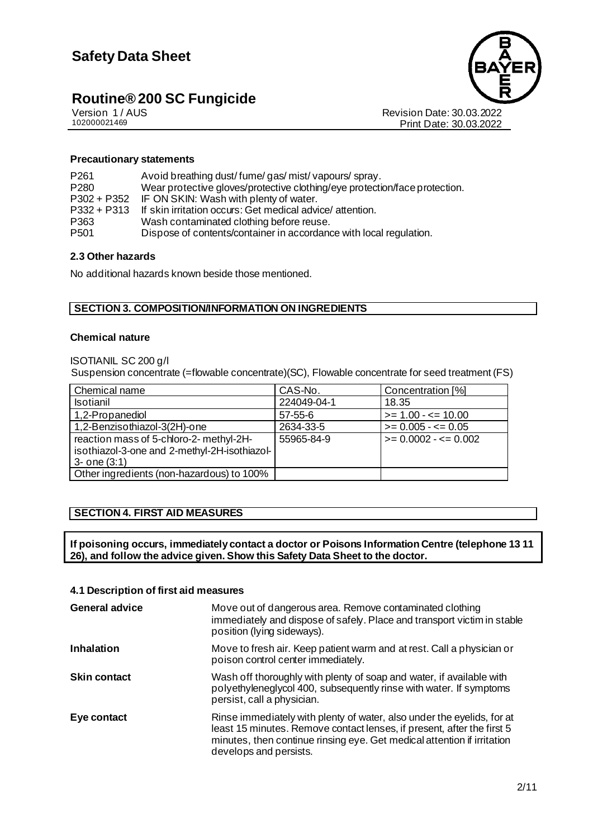

Version 1 / AUS<br>102000021469<br>Print Date: 30.03.2022<br>Print Date: 30.03.2022 Print Date: 30.03.2022

#### **Precautionary statements**

| P <sub>261</sub><br>P <sub>280</sub><br>$P302 + P352$<br>$P332 + P313$<br>P363 | Avoid breathing dust/fume/gas/mist/vapours/spray.<br>Wear protective gloves/protective clothing/eye protection/face protection.<br>IF ON SKIN: Wash with plenty of water.<br>If skin irritation occurs: Get medical advice/attention.<br>Wash contaminated clothing before reuse. |
|--------------------------------------------------------------------------------|-----------------------------------------------------------------------------------------------------------------------------------------------------------------------------------------------------------------------------------------------------------------------------------|
|                                                                                |                                                                                                                                                                                                                                                                                   |
| P <sub>501</sub>                                                               | Dispose of contents/container in accordance with local regulation.                                                                                                                                                                                                                |

#### **2.3 Other hazards**

No additional hazards known beside those mentioned.

#### **SECTION 3. COMPOSITION/INFORMATION ON INGREDIENTS**

#### **Chemical nature**

ISOTIANIL SC 200 g/l

Suspension concentrate (=flowable concentrate)(SC), Flowable concentrate for seed treatment (FS)

| Chemical name                                | CAS-No.     | Concentration [%]       |
|----------------------------------------------|-------------|-------------------------|
| <b>Isotianil</b>                             | 224049-04-1 | 18.35                   |
| 1,2-Propanediol                              | 57-55-6     | $\ge$ = 1.00 - <= 10.00 |
| 1,2-Benzisothiazol-3(2H)-one                 | 2634-33-5   | $>= 0.005 - \le 0.05$   |
| reaction mass of 5-chloro-2- methyl-2H-      | 55965-84-9  | $>= 0.0002 - \le 0.002$ |
| isothiazol-3-one and 2-methyl-2H-isothiazol- |             |                         |
| $3 -$ one $(3:1)$                            |             |                         |
| Other ingredients (non-hazardous) to 100%    |             |                         |

#### **SECTION 4. FIRST AID MEASURES**

**If poisoning occurs, immediately contact a doctor or Poisons Information Centre (telephone 13 11 26), and follow the advice given. Show this Safety Data Sheet to the doctor.**

#### **4.1 Description of first aid measures**

| <b>General advice</b> | Move out of dangerous area. Remove contaminated clothing<br>immediately and dispose of safely. Place and transport victim in stable<br>position (lying sideways).                                                                                     |
|-----------------------|-------------------------------------------------------------------------------------------------------------------------------------------------------------------------------------------------------------------------------------------------------|
| <b>Inhalation</b>     | Move to fresh air. Keep patient warm and at rest. Call a physician or<br>poison control center immediately.                                                                                                                                           |
| <b>Skin contact</b>   | Wash off thoroughly with plenty of soap and water, if available with<br>polyethyleneglycol 400, subsequently rinse with water. If symptoms<br>persist, call a physician.                                                                              |
| Eye contact           | Rinse immediately with plenty of water, also under the eyelids, for at<br>least 15 minutes. Remove contact lenses, if present, after the first 5<br>minutes, then continue rinsing eye. Get medical attention if irritation<br>develops and persists. |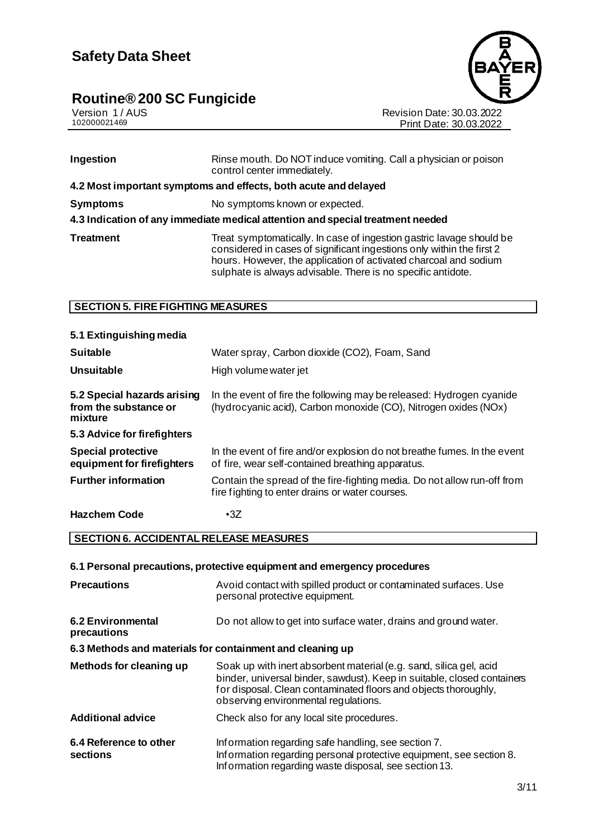#### **Routine® 200 SC Fungicide the system of the system of**  $\sim$



Version 1 / AUS Revision Date: 30.03.2022 102000021469 Print Date: 30.03.2022

| Ingestion        | Rinse mouth. Do NOT induce vomiting. Call a physician or poison<br>control center immediately.                                                                                                                                                                                    |  |
|------------------|-----------------------------------------------------------------------------------------------------------------------------------------------------------------------------------------------------------------------------------------------------------------------------------|--|
|                  | 4.2 Most important symptoms and effects, both acute and delayed                                                                                                                                                                                                                   |  |
| <b>Symptoms</b>  | No symptoms known or expected.                                                                                                                                                                                                                                                    |  |
|                  | 4.3 Indication of any immediate medical attention and special treatment needed                                                                                                                                                                                                    |  |
| <b>Treatment</b> | Treat symptomatically. In case of ingestion gastric lavage should be<br>considered in cases of significant ingestions only within the first 2<br>hours. However, the application of activated charcoal and sodium<br>sulphate is always advisable. There is no specific antidote. |  |

#### **SECTION 5. FIRE FIGHTING MEASURES**

| 5.1 Extinguishing media                                         |                                                                                                                                         |
|-----------------------------------------------------------------|-----------------------------------------------------------------------------------------------------------------------------------------|
| <b>Suitable</b>                                                 | Water spray, Carbon dioxide (CO2), Foam, Sand                                                                                           |
| Unsuitable                                                      | High volume water jet                                                                                                                   |
| 5.2 Special hazards arising<br>from the substance or<br>mixture | In the event of fire the following may be released: Hydrogen cyanide<br>(hydrocyanic acid), Carbon monoxide (CO), Nitrogen oxides (NOx) |
| 5.3 Advice for firefighters                                     |                                                                                                                                         |
| <b>Special protective</b><br>equipment for firefighters         | In the event of fire and/or explosion do not breathe fumes. In the event<br>of fire, wear self-contained breathing apparatus.           |
| <b>Further information</b>                                      | Contain the spread of the fire-fighting media. Do not allow run-off from<br>fire fighting to enter drains or water courses.             |
| <b>Hazchem Code</b>                                             | $\cdot$ 3Z                                                                                                                              |

**SECTION 6. ACCIDENTAL RELEASE MEASURES**

#### **6.1 Personal precautions, protective equipment and emergency procedures**

| <b>Precautions</b>                                        | Avoid contact with spilled product or contaminated surfaces. Use<br>personal protective equipment.                                                                                                                                                       |  |  |  |
|-----------------------------------------------------------|----------------------------------------------------------------------------------------------------------------------------------------------------------------------------------------------------------------------------------------------------------|--|--|--|
| 6.2 Environmental<br>precautions                          | Do not allow to get into surface water, drains and ground water.                                                                                                                                                                                         |  |  |  |
| 6.3 Methods and materials for containment and cleaning up |                                                                                                                                                                                                                                                          |  |  |  |
| Methods for cleaning up                                   | Soak up with inert absorbent material (e.g. sand, silica gel, acid<br>binder, universal binder, sawdust). Keep in suitable, closed containers<br>for disposal. Clean contaminated floors and objects thoroughly,<br>observing environmental regulations. |  |  |  |
| <b>Additional advice</b>                                  | Check also for any local site procedures.                                                                                                                                                                                                                |  |  |  |
| 6.4 Reference to other<br>sections                        | Information regarding safe handling, see section 7.<br>Information regarding personal protective equipment, see section 8.<br>Information regarding waste disposal, see section 13.                                                                      |  |  |  |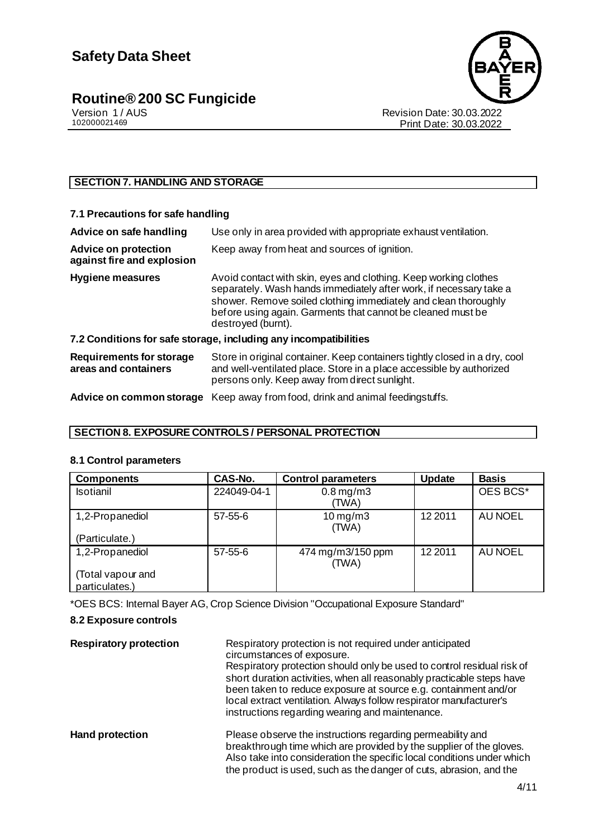

Revision Date: 30.03.2022 Print Date: 30.03.2022

#### **SECTION 7. HANDLING AND STORAGE**

| 7.1 Precautions for safe handling                                |                                                                                                                                                                                                                                                                                                |  |
|------------------------------------------------------------------|------------------------------------------------------------------------------------------------------------------------------------------------------------------------------------------------------------------------------------------------------------------------------------------------|--|
| Advice on safe handling                                          | Use only in area provided with appropriate exhaust ventilation.                                                                                                                                                                                                                                |  |
| <b>Advice on protection</b><br>against fire and explosion        | Keep away from heat and sources of ignition.                                                                                                                                                                                                                                                   |  |
| <b>Hygiene measures</b>                                          | Avoid contact with skin, eyes and clothing. Keep working clothes<br>separately. Wash hands immediately after work, if necessary take a<br>shower. Remove soiled clothing immediately and clean thoroughly<br>before using again. Garments that cannot be cleaned must be<br>destroyed (burnt). |  |
| 7.2 Conditions for safe storage, including any incompatibilities |                                                                                                                                                                                                                                                                                                |  |
| <b>Requirements for storage</b><br>areas and containers          | Store in original container. Keep containers tightly closed in a dry, cool<br>and well-ventilated place. Store in a place accessible by authorized<br>persons only. Keep away from direct sunlight.                                                                                            |  |
| Advice on common storage                                         | Keep away from food, drink and animal feedingstuffs.                                                                                                                                                                                                                                           |  |

#### **SECTION 8. EXPOSURE CONTROLS / PERSONAL PROTECTION**

#### **8.1 Control parameters**

| <b>Components</b>                   | CAS-No.       | <b>Control parameters</b>  | <b>Update</b> | <b>Basis</b>   |
|-------------------------------------|---------------|----------------------------|---------------|----------------|
| Isotianil                           | 224049-04-1   | $0.8$ mg/m $3$<br>(TWA)    |               | OES BCS*       |
| 1,2-Propanediol                     | $57 - 55 - 6$ | $10$ mg/m $3$<br>(TWA)     | 12 2011       | <b>AU NOEL</b> |
| (Particulate.)                      |               |                            |               |                |
| 1,2-Propanediol                     | $57 - 55 - 6$ | 474 mg/m3/150 ppm<br>(TWA) | 12 2011       | <b>AU NOEL</b> |
| (Total vapour and<br>particulates.) |               |                            |               |                |

\*OES BCS: Internal Bayer AG, Crop Science Division "Occupational Exposure Standard"

#### **8.2 Exposure controls**

| <b>Respiratory protection</b> | Respiratory protection is not required under anticipated<br>circumstances of exposure.<br>Respiratory protection should only be used to control residual risk of<br>short duration activities, when all reasonably practicable steps have<br>been taken to reduce exposure at source e.g. containment and/or<br>local extract ventilation. Always follow respirator manufacturer's<br>instructions regarding wearing and maintenance. |
|-------------------------------|---------------------------------------------------------------------------------------------------------------------------------------------------------------------------------------------------------------------------------------------------------------------------------------------------------------------------------------------------------------------------------------------------------------------------------------|
| <b>Hand protection</b>        | Please observe the instructions regarding permeability and<br>breakthrough time which are provided by the supplier of the gloves.<br>Also take into consideration the specific local conditions under which<br>the product is used, such as the danger of cuts, abrasion, and the                                                                                                                                                     |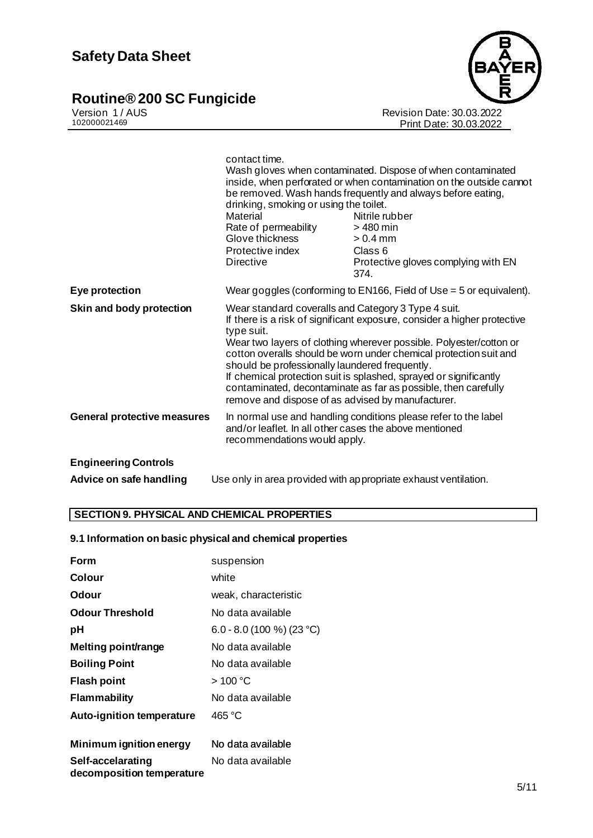#### **Routine® 200 SC Fungicide the system of the system of**  $\sim$



Version 1 / AUS Revision Date: 30.03.2022 102000021469 Print Date: 30.03.2022

|                                    | contact time.<br>drinking, smoking or using the toilet.<br>Material<br>Rate of permeability<br>Glove thickness<br>Protective index<br><b>Directive</b>                                                                                                                                                                                                                                                                                                                                                                                 | Wash gloves when contaminated. Dispose of when contaminated<br>inside, when perforated or when contamination on the outside cannot<br>be removed. Wash hands frequently and always before eating,<br>Nitrile rubber<br>> 480 min<br>$> 0.4$ mm<br>Class 6<br>Protective gloves complying with EN<br>374. |
|------------------------------------|----------------------------------------------------------------------------------------------------------------------------------------------------------------------------------------------------------------------------------------------------------------------------------------------------------------------------------------------------------------------------------------------------------------------------------------------------------------------------------------------------------------------------------------|----------------------------------------------------------------------------------------------------------------------------------------------------------------------------------------------------------------------------------------------------------------------------------------------------------|
| Eye protection                     | Wear goggles (conforming to EN166, Field of Use $=$ 5 or equivalent).                                                                                                                                                                                                                                                                                                                                                                                                                                                                  |                                                                                                                                                                                                                                                                                                          |
| Skin and body protection           | Wear standard coveralls and Category 3 Type 4 suit.<br>If there is a risk of significant exposure, consider a higher protective<br>type suit.<br>Wear two layers of clothing wherever possible. Polyester/cotton or<br>cotton overalls should be worn under chemical protection suit and<br>should be professionally laundered frequently.<br>If chemical protection suit is splashed, sprayed or significantly<br>contaminated, decontaminate as far as possible, then carefully<br>remove and dispose of as advised by manufacturer. |                                                                                                                                                                                                                                                                                                          |
| <b>General protective measures</b> | In normal use and handling conditions please refer to the label<br>and/or leaflet. In all other cases the above mentioned<br>recommendations would apply.                                                                                                                                                                                                                                                                                                                                                                              |                                                                                                                                                                                                                                                                                                          |
| <b>Engineering Controls</b>        |                                                                                                                                                                                                                                                                                                                                                                                                                                                                                                                                        |                                                                                                                                                                                                                                                                                                          |
| Advice on safe handling            |                                                                                                                                                                                                                                                                                                                                                                                                                                                                                                                                        | Use only in area provided with appropriate exhaust ventilation.                                                                                                                                                                                                                                          |

#### **SECTION 9. PHYSICAL AND CHEMICAL PROPERTIES**

#### **9.1 Information on basic physical and chemical properties**

| Form                                           | suspension                |
|------------------------------------------------|---------------------------|
| Colour                                         | white                     |
| Odour                                          | weak. characteristic      |
| <b>Odour Threshold</b>                         | No data available         |
| рH                                             | 6.0 - 8.0 (100 %) (23 °C) |
| Melting point/range                            | No data available         |
| <b>Boiling Point</b>                           | No data available         |
| Flash point                                    | >100 °C                   |
| <b>Flammability</b>                            | No data available         |
| <b>Auto-ignition temperature</b>               | 465 °C                    |
| Minimum ignition energy                        | No data available         |
| Self-accelarating<br>decomposition temperature | No data available         |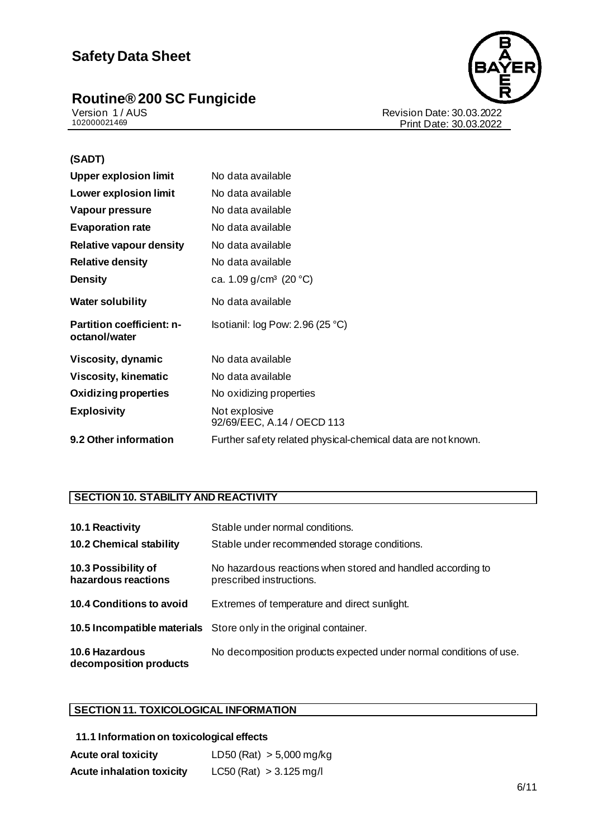### **Safety Data Sheet**

#### **Routine® 200 SC Fungicide the contract of the contract of the contract of the contract of the contract of the contract of the contract of the contract of the contract of the contract of the contract of the contract of the**



Version 1 / AUS Revision Date: 30.03.2022 102000021469 Print Date: 30.03.2022

| (SADT)                                            |                                                              |  |
|---------------------------------------------------|--------------------------------------------------------------|--|
| <b>Upper explosion limit</b>                      | No data available                                            |  |
| Lower explosion limit                             | No data available                                            |  |
| Vapour pressure                                   | No data available                                            |  |
| <b>Evaporation rate</b>                           | No data available                                            |  |
| Relative vapour density                           | No data available                                            |  |
| <b>Relative density</b>                           | No data available                                            |  |
| <b>Density</b>                                    | ca. 1.09 $g/cm^3$ (20 °C)                                    |  |
| <b>Water solubility</b>                           | No data available                                            |  |
| <b>Partition coefficient: n-</b><br>octanol/water | Isotianil: log Pow: 2.96 (25 °C)                             |  |
| Viscosity, dynamic                                | No data available                                            |  |
| <b>Viscosity, kinematic</b>                       | No data available                                            |  |
| <b>Oxidizing properties</b>                       | No oxidizing properties                                      |  |
| <b>Explosivity</b>                                | Not explosive<br>92/69/EEC, A.14 / OECD 113                  |  |
| 9.2 Other information                             | Further safety related physical-chemical data are not known. |  |

#### **SECTION 10. STABILITY AND REACTIVITY**

| 10.1 Reactivity<br><b>10.2 Chemical stability</b> | Stable under normal conditions.<br>Stable under recommended storage conditions.         |
|---------------------------------------------------|-----------------------------------------------------------------------------------------|
| 10.3 Possibility of<br>hazardous reactions        | No hazardous reactions when stored and handled according to<br>prescribed instructions. |
| <b>10.4 Conditions to avoid</b>                   | Extremes of temperature and direct sunlight.                                            |
|                                                   | <b>10.5 Incompatible materials</b> Store only in the original container.                |
| <b>10.6 Hazardous</b><br>decomposition products   | No decomposition products expected under normal conditions of use.                      |

#### **SECTION 11. TOXICOLOGICAL INFORMATION**

| 11.1 Information on toxicological effects |                             |
|-------------------------------------------|-----------------------------|
| <b>Acute oral toxicity</b>                | LD50 (Rat) $> 5,000$ mg/kg  |
| <b>Acute inhalation toxicity</b>          | $LC50$ (Rat) $> 3.125$ mg/l |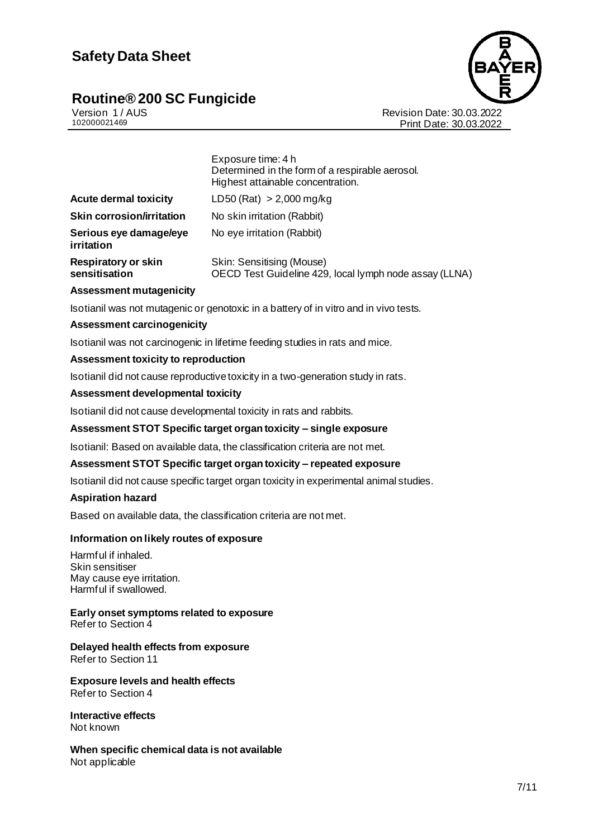#### **Routine® 200 SC Fungicide The Contract of Contract Contract Contract Contract Contract Contract Contract Contract Contract Contract Contract Contract Contract Contract Contract Contract Contract Contract Contract Contract**



Version 1 / AUS Revision Date: 30.03.2022 102000021469 Print Date: 30.03.2022

|                                                                 | Exposure time: 4 h<br>Determined in the form of a respirable aerosol.<br>Highest attainable concentration. |  |
|-----------------------------------------------------------------|------------------------------------------------------------------------------------------------------------|--|
| <b>Acute dermal toxicity</b>                                    | LD50 (Rat) $> 2,000$ mg/kg                                                                                 |  |
| <b>Skin corrosion/irritation</b>                                | No skin irritation (Rabbit)                                                                                |  |
| Serious eye damage/eye<br>irritation                            | No eye irritation (Rabbit)                                                                                 |  |
| <b>Respiratory or skin</b><br>sensitisation                     | Skin: Sensitising (Mouse)<br>OECD Test Guideline 429, local lymph node assay (LLNA)                        |  |
| <b>Assessment mutagenicity</b>                                  |                                                                                                            |  |
|                                                                 | Isotianil was not mutagenic or genotoxic in a battery of in vitro and in vivo tests.                       |  |
| <b>Assessment carcinogenicity</b>                               |                                                                                                            |  |
|                                                                 | Isotianil was not carcinogenic in lifetime feeding studies in rats and mice.                               |  |
| Assessment toxicity to reproduction                             |                                                                                                            |  |
|                                                                 | Isotianil did not cause reproductive toxicity in a two-generation study in rats.                           |  |
| <b>Assessment developmental toxicity</b>                        |                                                                                                            |  |
|                                                                 | Isotianil did not cause developmental toxicity in rats and rabbits.                                        |  |
|                                                                 | Assessment STOT Specific target organ toxicity - single exposure                                           |  |
|                                                                 | Isotianil: Based on available data, the classification criteria are not met.                               |  |
|                                                                 | Assessment STOT Specific target organ toxicity - repeated exposure                                         |  |
|                                                                 | Isotianil did not cause specific target organ toxicity in experimental animal studies.                     |  |
| <b>Aspiration hazard</b>                                        |                                                                                                            |  |
|                                                                 | Based on available data, the classification criteria are not met.                                          |  |
| Information on likely routes of exposure                        |                                                                                                            |  |
| Harmful if inhaled.<br>Skin sensitiser                          |                                                                                                            |  |
| May cause eye irritation.<br>Harmful if swallowed.              |                                                                                                            |  |
| Early onset symptoms related to exposure<br>Refer to Section 4  |                                                                                                            |  |
| Delayed health effects from exposure<br>Refer to Section 11     |                                                                                                            |  |
| <b>Exposure levels and health effects</b><br>Refer to Section 4 |                                                                                                            |  |
| <b>Interactive effects</b><br>Not known                         |                                                                                                            |  |
| When specific chemical data is not available<br>Not applicable  |                                                                                                            |  |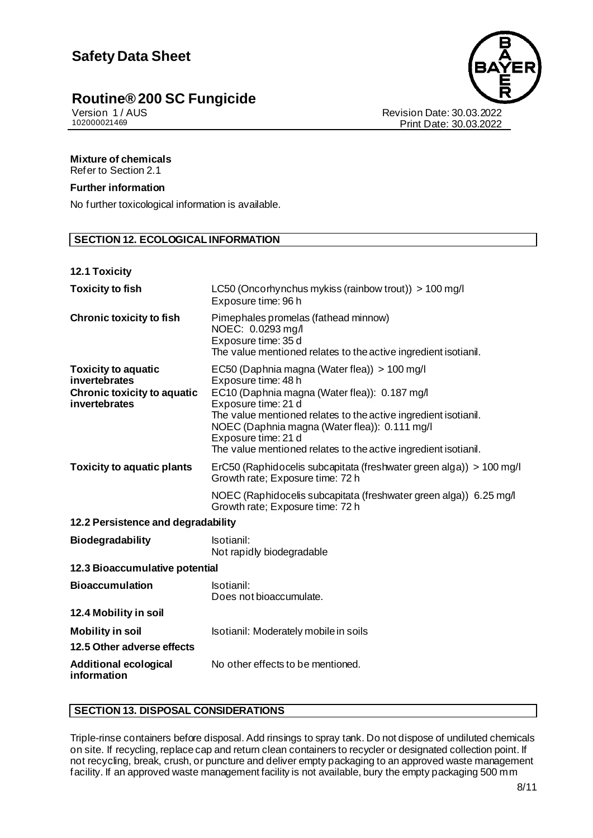

Print Date: 30.03.2022

Version 1 / AUS<br>102000021469<br>Print Date: 30.03.2022<br>Print Date: 30.03.2022

#### **Mixture of chemicals**

Refer to Section 2.1

#### **Further information**

No further toxicological information is available.

#### **SECTION 12. ECOLOGICAL INFORMATION**

#### **12.1 Toxicity**

| <b>Toxicity to fish</b>                                                                            | LC50 (Oncorhynchus mykiss (rainbow trout)) $> 100$ mg/l<br>Exposure time: 96 h                                                                                                                                                                                                                                                                            |  |
|----------------------------------------------------------------------------------------------------|-----------------------------------------------------------------------------------------------------------------------------------------------------------------------------------------------------------------------------------------------------------------------------------------------------------------------------------------------------------|--|
| <b>Chronic toxicity to fish</b>                                                                    | Pimephales promelas (fathead minnow)<br>NOEC: 0.0293 mg/l<br>Exposure time: 35 d<br>The value mentioned relates to the active ingredient isotianil.                                                                                                                                                                                                       |  |
| <b>Toxicity to aquatic</b><br>invertebrates<br><b>Chronic toxicity to aquatic</b><br>invertebrates | EC50 (Daphnia magna (Water flea)) > 100 mg/l<br>Exposure time: 48 h<br>EC10 (Daphnia magna (Water flea)): 0.187 mg/l<br>Exposure time: 21 d<br>The value mentioned relates to the active ingredient isotianil.<br>NOEC (Daphnia magna (Water flea)): 0.111 mg/l<br>Exposure time: 21 d<br>The value mentioned relates to the active ingredient isotianil. |  |
| <b>Toxicity to aquatic plants</b>                                                                  | ErC50 (Raphidocelis subcapitata (freshwater green alga)) > 100 mg/l<br>Growth rate; Exposure time: 72 h<br>NOEC (Raphidocelis subcapitata (freshwater green alga)) 6.25 mg/l<br>Growth rate; Exposure time: 72 h                                                                                                                                          |  |
| 12.2 Persistence and degradability                                                                 |                                                                                                                                                                                                                                                                                                                                                           |  |
| <b>Biodegradability</b>                                                                            | Isotianil:<br>Not rapidly biodegradable                                                                                                                                                                                                                                                                                                                   |  |
| 12.3 Bioaccumulative potential                                                                     |                                                                                                                                                                                                                                                                                                                                                           |  |
| <b>Bioaccumulation</b>                                                                             | Isotianil:<br>Does not bioaccumulate.                                                                                                                                                                                                                                                                                                                     |  |
| 12.4 Mobility in soil                                                                              |                                                                                                                                                                                                                                                                                                                                                           |  |
| <b>Mobility in soil</b>                                                                            | Isotianil: Moderately mobile in soils                                                                                                                                                                                                                                                                                                                     |  |
| 12.5 Other adverse effects                                                                         |                                                                                                                                                                                                                                                                                                                                                           |  |
| <b>Additional ecological</b><br>information                                                        | No other effects to be mentioned.                                                                                                                                                                                                                                                                                                                         |  |

#### **SECTION 13. DISPOSAL CONSIDERATIONS**

Triple-rinse containers before disposal. Add rinsings to spray tank. Do not dispose of undiluted chemicals on site. If recycling, replace cap and return clean containers to recycler or designated collection point. If not recycling, break, crush, or puncture and deliver empty packaging to an approved waste management facility. If an approved waste management facility is not available, bury the empty packaging 500 mm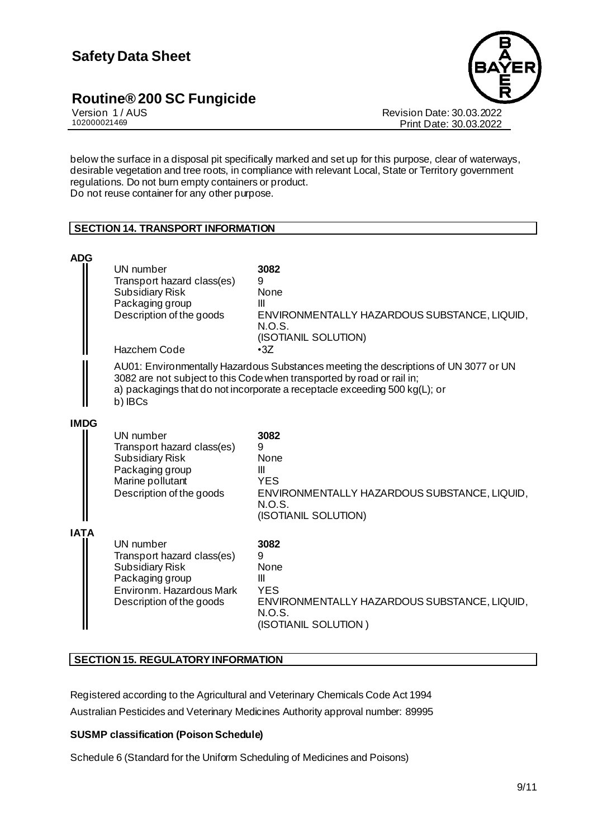

Version 1 / AUS<br>102000021469<br>Print Date: 30.03.2022 Print Date: 30.03.2022

below the surface in a disposal pit specifically marked and set up for this purpose, clear of waterways, desirable vegetation and tree roots, in compliance with relevant Local, State or Territory government regulations. Do not burn empty containers or product. Do not reuse container for any other purpose.

#### **SECTION 14. TRANSPORT INFORMATION**

| <b>ADG</b>  |                                                                                                                                      |                                                                                                                                                                                                                                              |
|-------------|--------------------------------------------------------------------------------------------------------------------------------------|----------------------------------------------------------------------------------------------------------------------------------------------------------------------------------------------------------------------------------------------|
|             | UN number<br>Transport hazard class(es)<br><b>Subsidiary Risk</b><br>Packaging group<br>Description of the goods<br>Hazchem Code     | 3082<br>9<br>None<br>Ш<br>ENVIRONMENTALLY HAZARDOUS SUBSTANCE, LIQUID,<br>N.O.S.<br>(ISOTIANIL SOLUTION)<br>$\cdot$ 3Z                                                                                                                       |
|             |                                                                                                                                      |                                                                                                                                                                                                                                              |
|             | b) IBCs                                                                                                                              | AU01: Environmentally Hazardous Substances meeting the descriptions of UN 3077 or UN<br>3082 are not subject to this Code when transported by road or rail in;<br>a) packagings that do not incorporate a receptacle exceeding 500 kg(L); or |
| <b>IMDG</b> |                                                                                                                                      |                                                                                                                                                                                                                                              |
|             | UN number<br>Transport hazard class(es)<br><b>Subsidiary Risk</b><br>Packaging group<br>Marine pollutant<br>Description of the goods | 3082<br>9<br><b>None</b><br>Ш<br><b>YES</b><br>ENVIRONMENTALLY HAZARDOUS SUBSTANCE, LIQUID,<br>N.O.S.<br>(ISOTIANIL SOLUTION)                                                                                                                |
| IATA        | UN number<br>Transport hazard class(es)<br><b>Subsidiary Risk</b><br>Packaging group                                                 | 3082<br>9<br>None<br>Ш                                                                                                                                                                                                                       |
|             | Environm, Hazardous Mark<br>Description of the goods                                                                                 | <b>YES</b><br>ENVIRONMENTALLY HAZARDOUS SUBSTANCE, LIQUID,<br>N.O.S.<br>(ISOTIANIL SOLUTION)                                                                                                                                                 |

#### **SECTION 15. REGULATORY INFORMATION**

Registered according to the Agricultural and Veterinary Chemicals Code Act 1994 Australian Pesticides and Veterinary Medicines Authority approval number: 89995

#### **SUSMP classification (Poison Schedule)**

Schedule 6 (Standard for the Uniform Scheduling of Medicines and Poisons)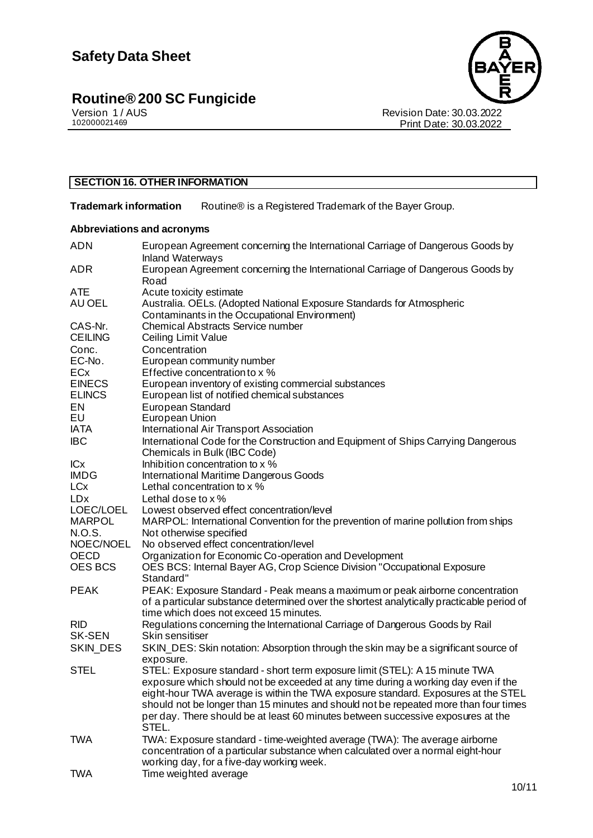

Revision Date: 30.03.2022 Print Date: 30.03.2022

#### **SECTION 16. OTHER INFORMATION**

**Trademark information** Routine® is a Registered Trademark of the Bayer Group.

#### **Abbreviations and acronyms**

| <b>ADN</b>             | European Agreement concerning the International Carriage of Dangerous Goods by<br><b>Inland Waterways</b> |
|------------------------|-----------------------------------------------------------------------------------------------------------|
| <b>ADR</b>             | European Agreement concerning the International Carriage of Dangerous Goods by                            |
|                        | Road                                                                                                      |
| <b>ATE</b><br>AU OEL   | Acute toxicity estimate<br>Australia. OELs. (Adopted National Exposure Standards for Atmospheric          |
|                        |                                                                                                           |
|                        | Contaminants in the Occupational Environment)                                                             |
| CAS-Nr.                | <b>Chemical Abstracts Service number</b>                                                                  |
| <b>CEILING</b>         | Ceiling Limit Value                                                                                       |
| Conc.                  | Concentration                                                                                             |
| EC-No.                 | European community number                                                                                 |
| <b>ECx</b>             | Effective concentration to x %                                                                            |
| <b>EINECS</b>          | European inventory of existing commercial substances                                                      |
| <b>ELINCS</b>          | European list of notified chemical substances                                                             |
| EN                     | European Standard                                                                                         |
| EU                     | European Union                                                                                            |
| <b>IATA</b>            | International Air Transport Association                                                                   |
| <b>IBC</b>             | International Code for the Construction and Equipment of Ships Carrying Dangerous                         |
|                        | Chemicals in Bulk (IBC Code)                                                                              |
| <b>ICx</b>             | Inhibition concentration to x %                                                                           |
| <b>IMDG</b>            | International Maritime Dangerous Goods                                                                    |
| <b>LC<sub>x</sub></b>  | Lethal concentration to x %                                                                               |
| <b>LD</b> <sub>x</sub> | Lethal dose to $x$ %                                                                                      |
| LOEC/LOEL              | Lowest observed effect concentration/level                                                                |
| <b>MARPOL</b>          | MARPOL: International Convention for the prevention of marine pollution from ships                        |
| N.O.S.                 | Not otherwise specified                                                                                   |
| NOEC/NOEL              | No observed effect concentration/level                                                                    |
| <b>OECD</b>            | Organization for Economic Co-operation and Development                                                    |
| <b>OES BCS</b>         | OES BCS: Internal Bayer AG, Crop Science Division "Occupational Exposure                                  |
|                        | Standard"                                                                                                 |
| <b>PEAK</b>            | PEAK: Exposure Standard - Peak means a maximum or peak airborne concentration                             |
|                        | of a particular substance determined over the shortest analytically practicable period of                 |
|                        | time which does not exceed 15 minutes.                                                                    |
| <b>RID</b>             | Regulations concerning the International Carriage of Dangerous Goods by Rail                              |
| <b>SK-SEN</b>          | Skin sensitiser                                                                                           |
| SKIN_DES               | SKIN_DES: Skin notation: Absorption through the skin may be a significant source of                       |
|                        | exposure.                                                                                                 |
| <b>STEL</b>            | STEL: Exposure standard - short term exposure limit (STEL): A 15 minute TWA                               |
|                        | exposure which should not be exceeded at any time during a working day even if the                        |
|                        | eight-hour TWA average is within the TWA exposure standard. Exposures at the STEL                         |
|                        | should not be longer than 15 minutes and should not be repeated more than four times                      |
|                        | per day. There should be at least 60 minutes between successive exposures at the                          |
|                        | STEL.                                                                                                     |
| <b>TWA</b>             | TWA: Exposure standard - time-weighted average (TWA): The average airborne                                |
|                        | concentration of a particular substance when calculated over a normal eight-hour                          |
|                        | working day, for a five-day working week.                                                                 |
| TWA                    | Time weighted average                                                                                     |